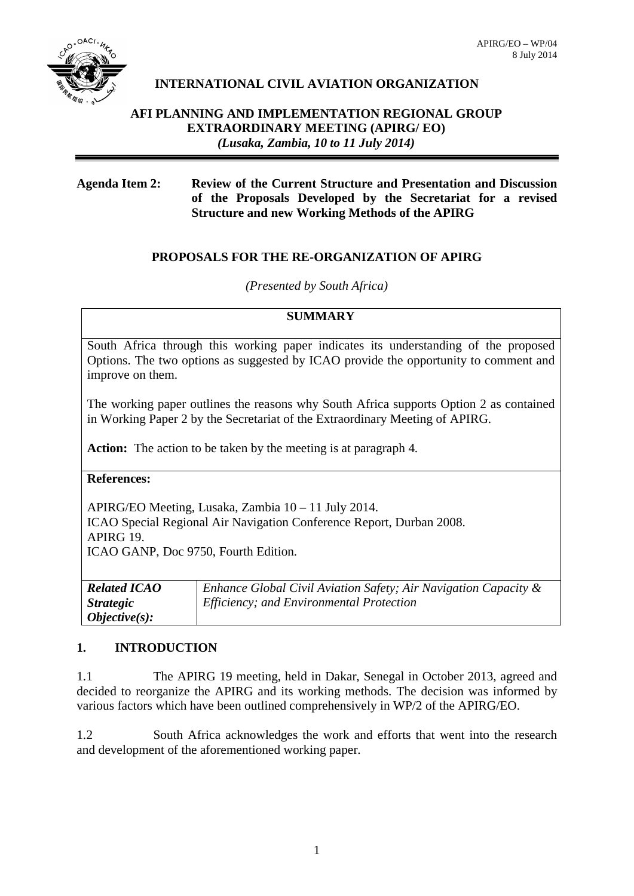

# **INTERNATIONAL CIVIL AVIATION ORGANIZATION**

## **AFI PLANNING AND IMPLEMENTATION REGIONAL GROUP EXTRAORDINARY MEETING (APIRG/ EO)** *(Lusaka, Zambia, 10 to 11 July 2014)*

## **Agenda Item 2: Review of the Current Structure and Presentation and Discussion of the Proposals Developed by the Secretariat for a revised Structure and new Working Methods of the APIRG**

## **PROPOSALS FOR THE RE-ORGANIZATION OF APIRG**

#### *(Presented by South Africa)*

#### **SUMMARY**

South Africa through this working paper indicates its understanding of the proposed Options. The two options as suggested by ICAO provide the opportunity to comment and improve on them.

The working paper outlines the reasons why South Africa supports Option 2 as contained in Working Paper 2 by the Secretariat of the Extraordinary Meeting of APIRG.

**Action:** The action to be taken by the meeting is at paragraph 4.

**References:** 

APIRG/EO Meeting, Lusaka, Zambia 10 – 11 July 2014. ICAO Special Regional Air Navigation Conference Report, Durban 2008. APIRG 19. ICAO GANP, Doc 9750, Fourth Edition.

| <b>Related ICAO</b>     | Enhance Global Civil Aviation Safety; Air Navigation Capacity $\&$ |
|-------------------------|--------------------------------------------------------------------|
| <i><b>Strategic</b></i> | <i>Efficiency; and Environmental Protection</i>                    |
| $Objective(s):$         |                                                                    |

## **1. INTRODUCTION**

1.1 The APIRG 19 meeting, held in Dakar, Senegal in October 2013, agreed and decided to reorganize the APIRG and its working methods. The decision was informed by various factors which have been outlined comprehensively in WP/2 of the APIRG/EO.

1.2 South Africa acknowledges the work and efforts that went into the research and development of the aforementioned working paper.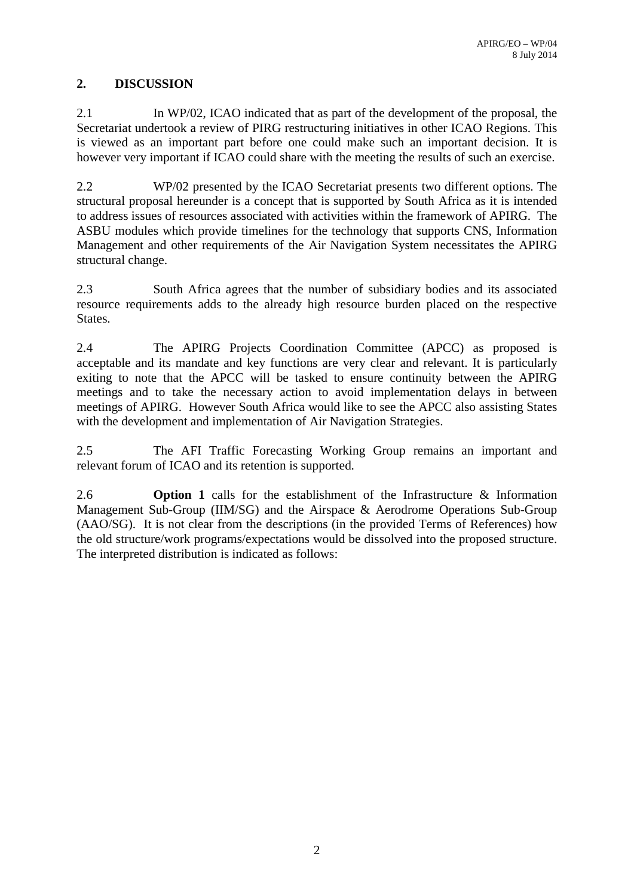## **2. DISCUSSION**

2.1 In WP/02, ICAO indicated that as part of the development of the proposal, the Secretariat undertook a review of PIRG restructuring initiatives in other ICAO Regions. This is viewed as an important part before one could make such an important decision. It is however very important if ICAO could share with the meeting the results of such an exercise.

2.2 WP/02 presented by the ICAO Secretariat presents two different options. The structural proposal hereunder is a concept that is supported by South Africa as it is intended to address issues of resources associated with activities within the framework of APIRG. The ASBU modules which provide timelines for the technology that supports CNS, Information Management and other requirements of the Air Navigation System necessitates the APIRG structural change.

2.3 South Africa agrees that the number of subsidiary bodies and its associated resource requirements adds to the already high resource burden placed on the respective States.

2.4 The APIRG Projects Coordination Committee (APCC) as proposed is acceptable and its mandate and key functions are very clear and relevant. It is particularly exiting to note that the APCC will be tasked to ensure continuity between the APIRG meetings and to take the necessary action to avoid implementation delays in between meetings of APIRG. However South Africa would like to see the APCC also assisting States with the development and implementation of Air Navigation Strategies.

2.5 The AFI Traffic Forecasting Working Group remains an important and relevant forum of ICAO and its retention is supported.

2.6 **Option 1** calls for the establishment of the Infrastructure & Information Management Sub-Group (IIM/SG) and the Airspace & Aerodrome Operations Sub-Group (AAO/SG). It is not clear from the descriptions (in the provided Terms of References) how the old structure/work programs/expectations would be dissolved into the proposed structure. The interpreted distribution is indicated as follows: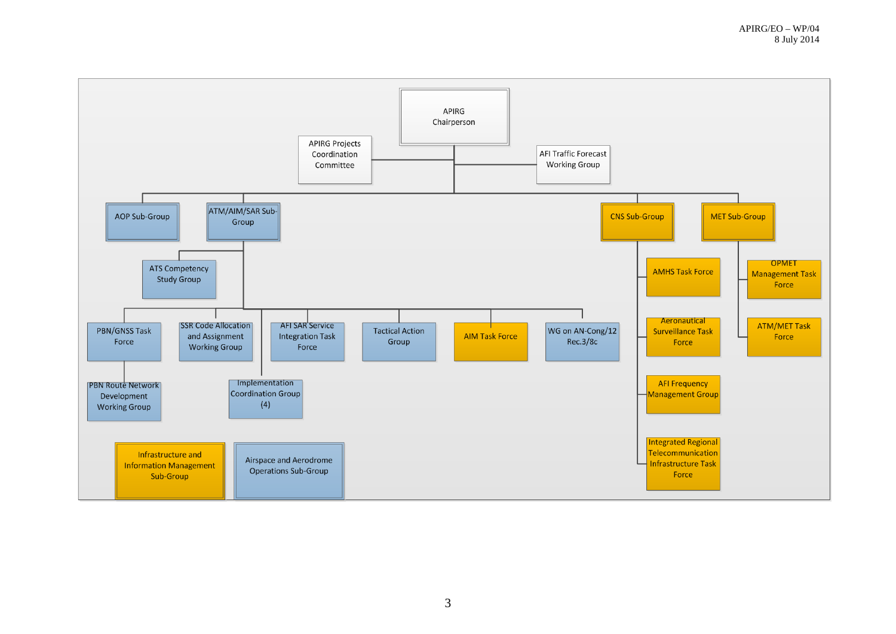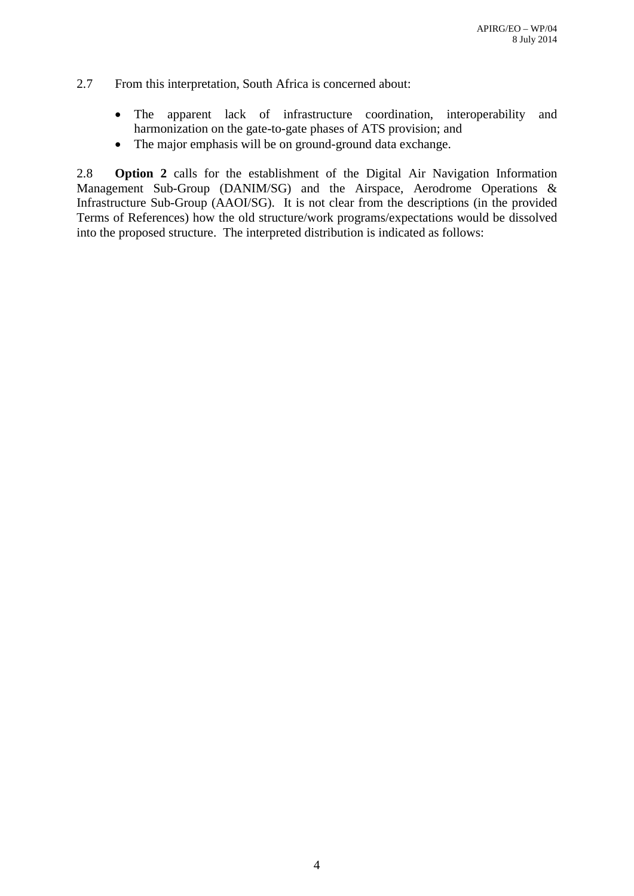- 2.7 From this interpretation, South Africa is concerned about:
	- The apparent lack of infrastructure coordination, interoperability and harmonization on the gate-to-gate phases of ATS provision; and
	- The major emphasis will be on ground-ground data exchange.

2.8 **Option 2** calls for the establishment of the Digital Air Navigation Information Management Sub-Group (DANIM/SG) and the Airspace, Aerodrome Operations & Infrastructure Sub-Group (AAOI/SG). It is not clear from the descriptions (in the provided Terms of References) how the old structure/work programs/expectations would be dissolved into the proposed structure. The interpreted distribution is indicated as follows: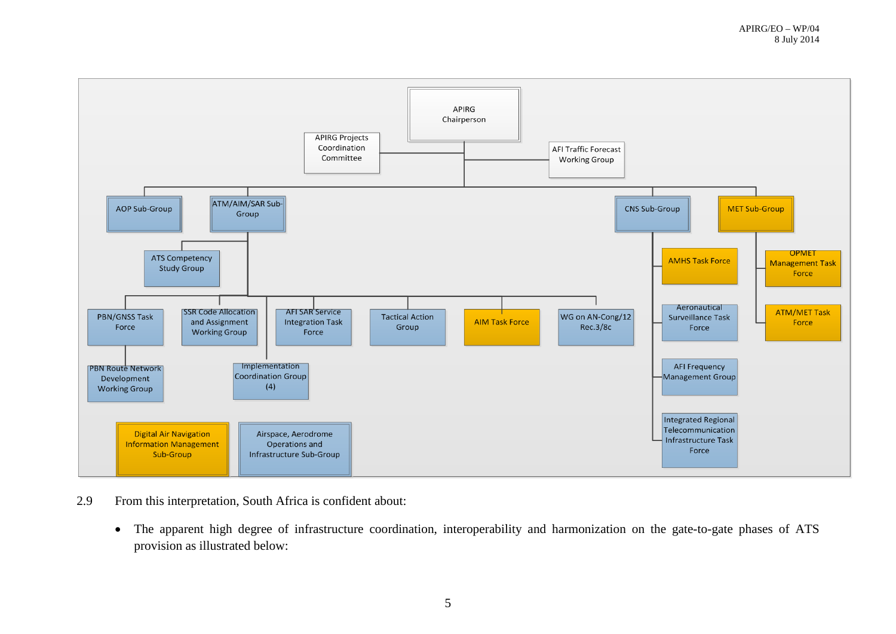

- 2.9 From this interpretation, South Africa is confident about:
	- The apparent high degree of infrastructure coordination, interoperability and harmonization on the gate-to-gate phases of ATS provision as illustrated below: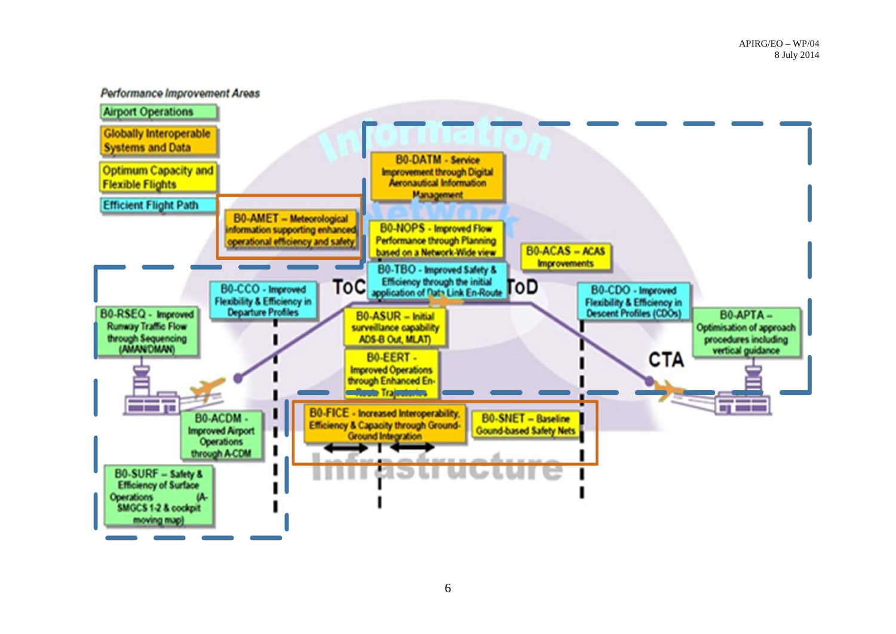